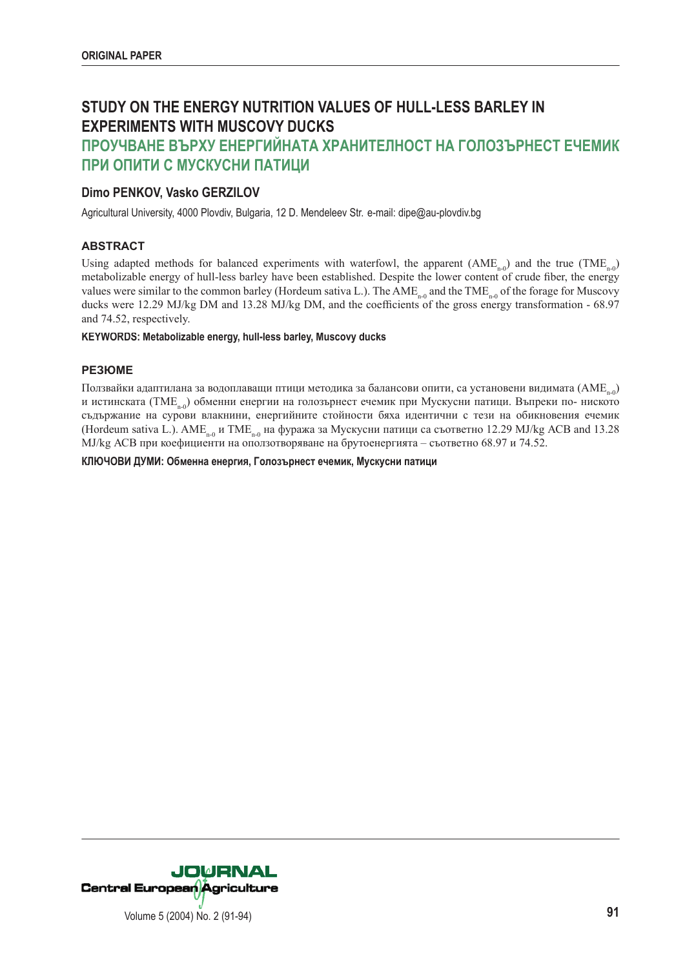# **STUDY ON THE ENERGY NUTRITION VALUES OF HULL-LESS BARLEY IN EXPERIMENTS WITH MUSCOVY DUCKS**

## **ПРОУЧВАНЕ ВЪРХУ ЕНЕРГИЙНАТА ХРАНИТЕЛНОСТ НА ГОЛОЗЪРНЕСТ ЕЧЕМИК ПРИ ОПИТИ С МУСКУСНИ ПАТИЦИ**

## **Dimo PENKOV, Vasko GERZILOV**

Agricultural University, 4000 Plovdiv, Bulgaria, 12 D. Mendeleev Str. e-mail: dipe@au-plovdiv.bg

## **ABSTRACT**

Using adapted methods for balanced experiments with waterfowl, the apparent  $(AME_{n-0})$  and the true  $(TME_{n-0})$ metabolizable energy of hull-less barley have been established. Despite the lower content of crude fiber, the energy values were similar to the common barley (Hordeum sativa L.). The  $AME_{n-0}$  and the TME<sub>n-0</sub> of the forage for Muscovy ducks were 12.29 MJ/kg DM and 13.28 MJ/kg DM, and the coefficients of the gross energy transformation - 68.97 and 74.52, respectively.

#### **KEYWORDS: Metabolizable energy, hull-less barley, Muscovy ducks**

#### **РЕЗЮМЕ**

Ползвайки адаптилана за водоплаващи птици методика за балансови опити, са установени видимата (AME<sub>n0</sub>) и истинската (TME<sub>ne</sub>) обменни енергии на голозърнест ечемик при Мускусни патици. Въпреки по- ниското съдържание на сурови влакнини, енергийните стойности бяха идентични с тези на обикновения ечемик (Hordeum sativa L.). AME<sub>n-0</sub> и TME<sub>n-0</sub> на фуража за Мускусни патици са съответно 12.29 MJ/kg ACB and 13.28 MJ/kg АСВ при коефициенти на оползотворяване на брутоенергията – съответно 68.97 и 74.52.

**КЛЮЧОВИ ДУМИ: Обменна енергия, Голозърнест ечемик, Мускусни патици**

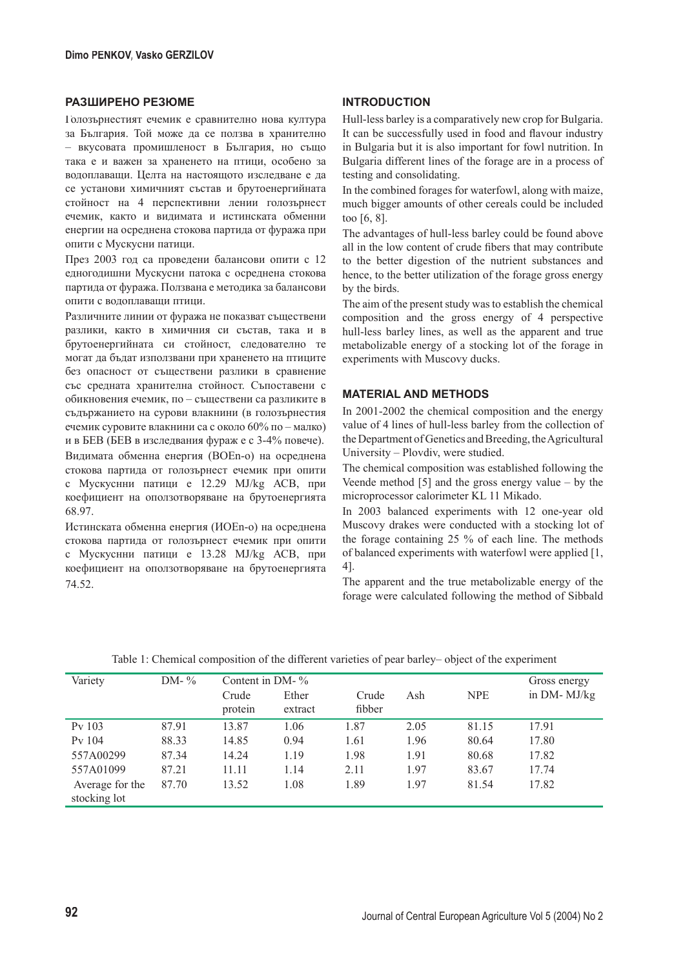#### **РАЗШИРЕНО РЕЗЮМЕ**

Голозърнестият ечемик е сравнително нова култура за България. Той може да се ползва в хранително – вкусовата промишленост в България, но също така е и важен за храненето на птици, особено за водоплаващи. Целта на настоящото изследване е да се установи химичният състав и брутоенергийната стойност на 4 перспективни лении голозърнест ечемик, както и видимата и истинската обменни енергии на осреднена стокова партида от фуража при опити с Мускусни патици.

През 2003 год са проведени балансови опити с 12 едногодишни Мускусни патока с осреднена стокова партида от фуража. Ползвана е методика за балансови опити с водоплаващи птици.

Различните линии от фуража не показват съществени разлики, както в химичния си състав, така и в брутоенергийната си стойност, следователно те могат да бъдат използвани при храненето на птиците без опасност от съществени разлики в сравнение със средната хранителна стойност. Съпоставени с обикновения ечемик, по – съществени са разликите в съдържанието на сурови влакнини (в голозърнестия ечемик суровите влакнини са с около 60% по – малко) и в БЕВ (БЕВ в изследвания фураж е с 3-4% повече). Видимата обменна енергия (ВОЕn-о) на осреднена стокова партида от голозърнест ечемик при опити с Мускуснни патици е 12.29 MJ/kg АСВ, при коефициент на оползотворяване на брутоенергията 68.97.

Истинската обменна енергия (ИОЕn-о) на осреднена стокова партида от голозърнест ечемик при опити с Мускуснни патици е 13.28 MJ/kg АСВ, при коефициент на оползотворяване на брутоенергията 74.52.

## **INTRODUCTION**

Hull-less barley is a comparatively new crop for Bulgaria. It can be successfully used in food and flavour industry in Bulgaria but it is also important for fowl nutrition. In Bulgaria different lines of the forage are in a process of testing and consolidating.

In the combined forages for waterfowl, along with maize, much bigger amounts of other cereals could be included too [6, 8].

The advantages of hull-less barley could be found above all in the low content of crude fibers that may contribute to the better digestion of the nutrient substances and hence, to the better utilization of the forage gross energy by the birds.

The aim of the present study was to establish the chemical composition and the gross energy of 4 perspective hull-less barley lines, as well as the apparent and true metabolizable energy of a stocking lot of the forage in experiments with Muscovy ducks.

#### **MATERIAL AND METHODS**

In 2001-2002 the chemical composition and the energy value of 4 lines of hull-less barley from the collection of the Department of Genetics and Breeding, the Agricultural University – Plovdiv, were studied.

The chemical composition was established following the Veende method  $[5]$  and the gross energy value – by the microprocessor calorimeter KL 11 Mikado.

In 2003 balanced experiments with 12 one-year old Muscovy drakes were conducted with a stocking lot of the forage containing 25 % of each line. The methods of balanced experiments with waterfowl were applied [1, 4].

The apparent and the true metabolizable energy of the forage were calculated following the method of Sibbald

| Variety            | DM- $\%$ | Content in $DM-$ % |         |        |      |            | Gross energy |
|--------------------|----------|--------------------|---------|--------|------|------------|--------------|
|                    |          | Crude              | Ether   | Crude  | Ash  | <b>NPE</b> | in DM-MJ/kg  |
|                    |          | protein            | extract | fibber |      |            |              |
| P <sub>v</sub> 103 | 87.91    | 13.87              | 1.06    | 1.87   | 2.05 | 81.15      | 17.91        |
| Pv 104             | 88.33    | 14.85              | 0.94    | 1.61   | 1.96 | 80.64      | 17.80        |
| 557A00299          | 87.34    | 14.24              | 1.19    | 1.98   | 1.91 | 80.68      | 17.82        |
| 557A01099          | 87.21    | 11.11              | 1.14    | 2.11   | 1.97 | 83.67      | 17.74        |
| Average for the    | 87.70    | 13.52              | 1.08    | 1.89   | 1.97 | 81.54      | 17.82        |
| stocking lot       |          |                    |         |        |      |            |              |

Table 1: Chemical composition of the different varieties of pear barley– object of the experiment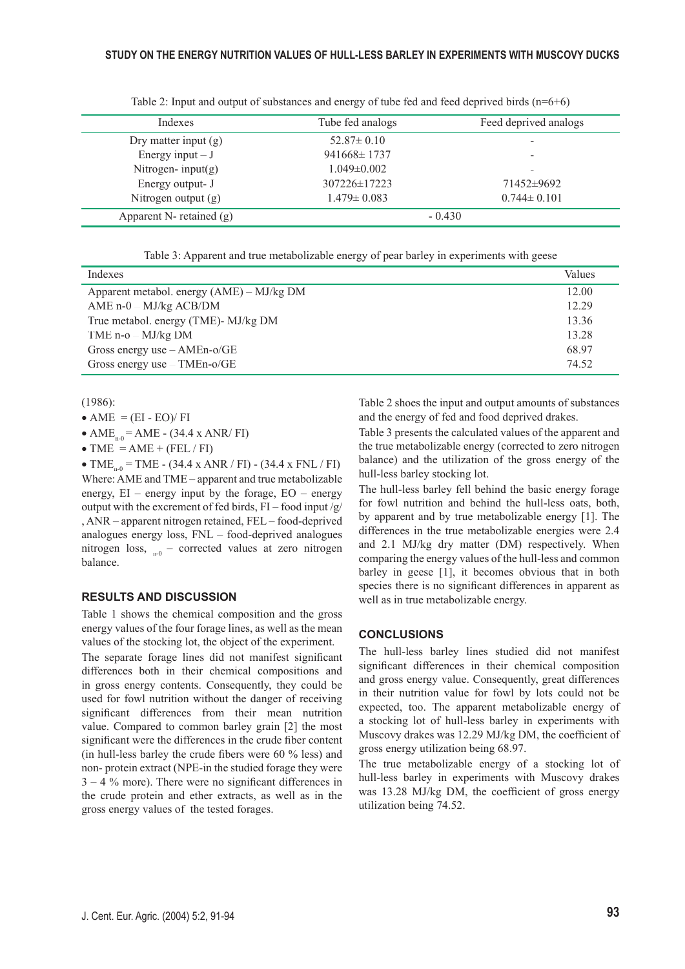| Indexes                    | Tube fed analogs  | Feed deprived analogs    |
|----------------------------|-------------------|--------------------------|
| Dry matter input $(g)$     | $52.87 \pm 0.10$  | $\overline{\phantom{a}}$ |
| Energy input $-J$          | $941668 \pm 1737$ | $\overline{\phantom{0}}$ |
| Nitrogen- $input(g)$       | $1.049 \pm 0.002$ | -                        |
| Energy output- J           | 307226±17223      | 71452±9692               |
| Nitrogen output $(g)$      | $1.479 \pm 0.083$ | $0.744 \pm 0.101$        |
| Apparent N- retained $(g)$ |                   | $-0.430$                 |

Table 2: Input and output of substances and energy of tube fed and feed deprived birds  $(n=6+6)$ 

Table 3: Apparent and true metabolizable energy of pear barley in experiments with geese

| Indexes                                   | Values |
|-------------------------------------------|--------|
| Apparent metabol. energy (AME) – MJ/kg DM | 12.00  |
| AME $n-0$ – MJ/kg ACB/DM                  | 12.29  |
| True metabol. energy (TME)- MJ/kg DM      | 13.36  |
| TME $n-o - MJ/kg DM$                      | 13.28  |
| Gross energy use $-AMEn-o/GE$             | 68.97  |
| Gross energy use - TMEn-o/GE              | 74.52  |

(1986):

• AME  $=$  (EI - EO)/ FI

•  $AME_{n-0} = AME - (34.4 \times ANR/FI)$ 

• TME =  $AME + (FEL / FI)$ 

• TME<sub>ne</sub> = TME - (34.4 x ANR / FI) - (34.4 x FNL / FI) Where: AME and TME – apparent and true metabolizable energy,  $EI$  – energy input by the forage,  $EO$  – energy output with the excrement of fed birds,  $FI$  – food input /g/ , ANR – apparent nitrogen retained, FEL – food-deprived analogues energy loss, FNL – food-deprived analogues nitrogen loss,  $_{n=0}$  – corrected values at zero nitrogen balance.

#### **RESULTS AND DISCUSSION**

Table 1 shows the chemical composition and the gross energy values of the four forage lines, as well as the mean values of the stocking lot, the object of the experiment.

The separate forage lines did not manifest significant differences both in their chemical compositions and in gross energy contents. Consequently, they could be used for fowl nutrition without the danger of receiving significant differences from their mean nutrition value. Compared to common barley grain [2] the most significant were the differences in the crude fiber content (in hull-less barley the crude fibers were  $60\%$  less) and non- protein extract (NPE-in the studied forage they were  $3 - 4$  % more). There were no significant differences in the crude protein and ether extracts, as well as in the gross energy values of the tested forages.

Table 2 shoes the input and output amounts of substances and the energy of fed and food deprived drakes.

Table 3 presents the calculated values of the apparent and the true metabolizable energy (corrected to zero nitrogen balance) and the utilization of the gross energy of the hull-less barley stocking lot.

The hull-less barley fell behind the basic energy forage for fowl nutrition and behind the hull-less oats, both, by apparent and by true metabolizable energy [1]. The differences in the true metabolizable energies were 2.4 and 2.1 MJ/kg dry matter (DM) respectively. When comparing the energy values of the hull-less and common barley in geese [1], it becomes obvious that in both species there is no significant differences in apparent as well as in true metabolizable energy.

#### **CONCLUSIONS**

The hull-less barley lines studied did not manifest significant differences in their chemical composition and gross energy value. Consequently, great differences in their nutrition value for fowl by lots could not be expected, too. The apparent metabolizable energy of a stocking lot of hull-less barley in experiments with Muscovy drakes was 12.29 MJ/kg DM, the coefficient of gross energy utilization being 68.97.

The true metabolizable energy of a stocking lot of hull-less barley in experiments with Muscovy drakes was 13.28 MJ/kg DM, the coefficient of gross energy utilization being 74.52.